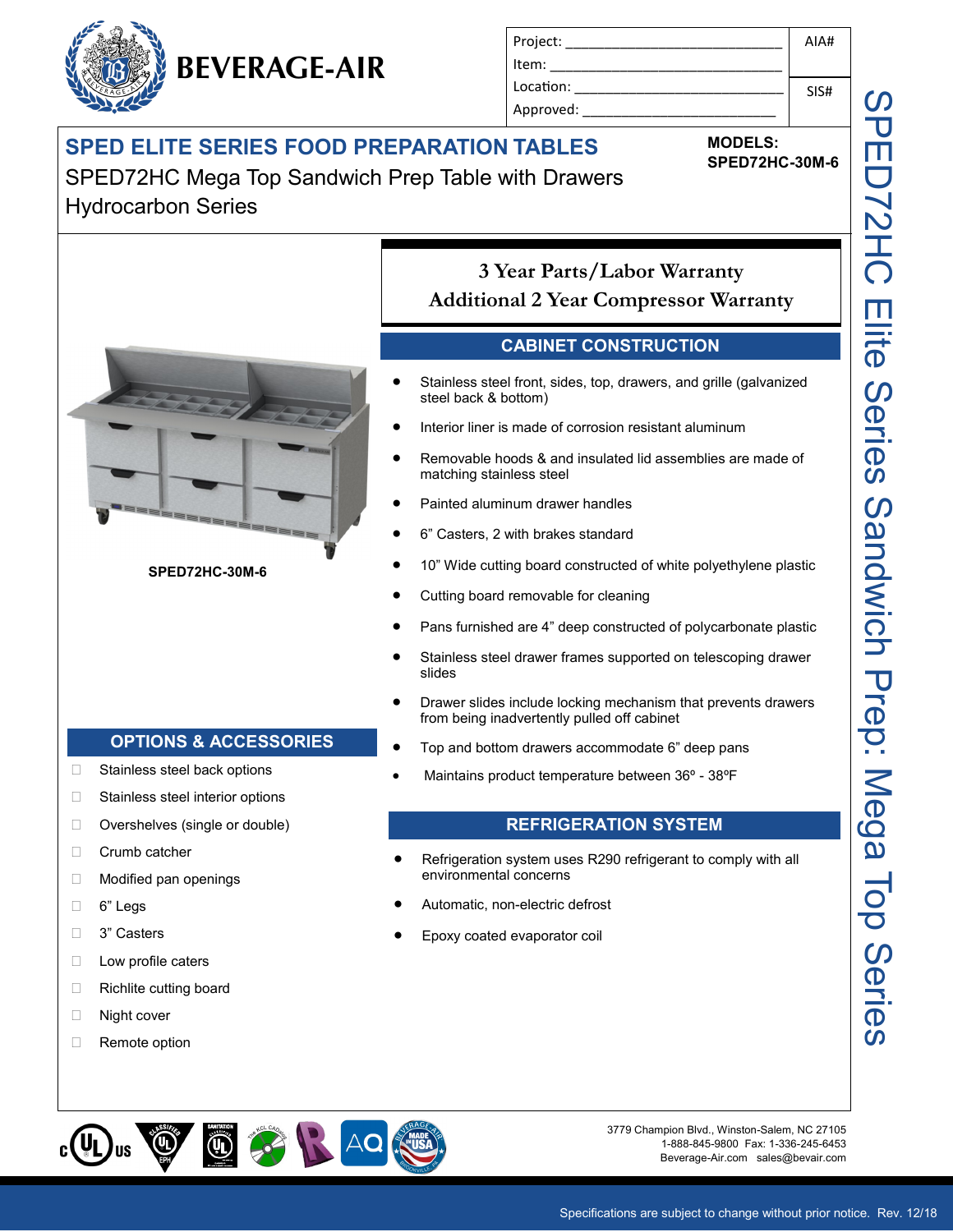## **SPED ELITE SERIES FOOD PREPARATION TABLES**

**BEVERAGE-AIR**

SPED72HC Mega Top Sandwich Prep Table with Drawers Hydrocarbon Series



- 6" Legs
- □ 3" Casters
- $\Box$  Low profile caters
- □ Richlite cutting board
- Night cover
- Remote option
- Automatic, non-electric defrost
- Epoxy coated evaporator coil



3779 Champion Blvd., Winston-Salem, NC 27105 1-888-845-9800 Fax: 1-336-245-6453 Beverage-Air.com sales@bevair.com

AIA#

SIS#

**MODELS:**

Project: \_\_\_\_\_\_\_\_\_\_\_\_\_\_\_\_\_\_\_\_\_\_\_\_\_\_\_\_

Item: Location: Approved:

**SPED72HC-30M-6**